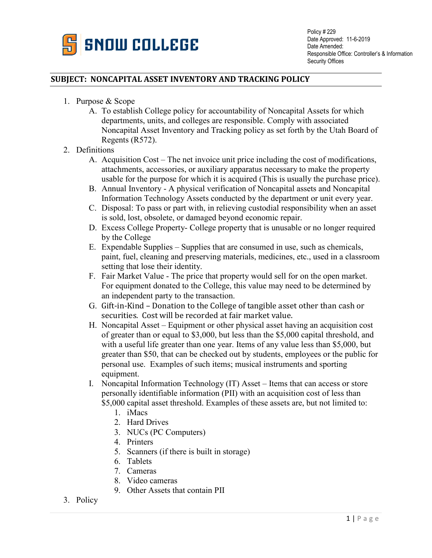

## **SUBJECT: NONCAPITAL ASSET INVENTORY AND TRACKING POLICY**

- 1. Purpose & Scope
	- A. To establish College policy for accountability of Noncapital Assets for which departments, units, and colleges are responsible. Comply with associated Noncapital Asset Inventory and Tracking policy as set forth by the Utah Board of Regents (R572).
- 2. Definitions
	- A. Acquisition Cost The net invoice unit price including the cost of modifications, attachments, accessories, or auxiliary apparatus necessary to make the property usable for the purpose for which it is acquired (This is usually the purchase price).
	- B. Annual Inventory A physical verification of Noncapital assets and Noncapital Information Technology Assets conducted by the department or unit every year.
	- C. Disposal: To pass or part with, in relieving custodial responsibility when an asset is sold, lost, obsolete, or damaged beyond economic repair.
	- D. Excess College Property- College property that is unusable or no longer required by the College
	- E. Expendable Supplies Supplies that are consumed in use, such as chemicals, paint, fuel, cleaning and preserving materials, medicines, etc., used in a classroom setting that lose their identity.
	- F. Fair Market Value The price that property would sell for on the open market. For equipment donated to the College, this value may need to be determined by an independent party to the transaction.
	- G. Gift-in-Kind Donation to the College of tangible asset other than cash or securities. Cost will be recorded at fair market value.
	- H. Noncapital Asset Equipment or other physical asset having an acquisition cost of greater than or equal to \$3,000, but less than the \$5,000 capital threshold, and with a useful life greater than one year. Items of any value less than \$5,000, but greater than \$50, that can be checked out by students, employees or the public for personal use. Examples of such items; musical instruments and sporting equipment.
	- I. Noncapital Information Technology (IT) Asset Items that can access or store personally identifiable information (PII) with an acquisition cost of less than \$5,000 capital asset threshold. Examples of these assets are, but not limited to:
		- 1. iMacs
		- 2. Hard Drives
		- 3. NUCs (PC Computers)
		- 4. Printers
		- 5. Scanners (if there is built in storage)
		- 6. Tablets
		- 7. Cameras
		- 8. Video cameras
		- 9. Other Assets that contain PII
- 3. Policy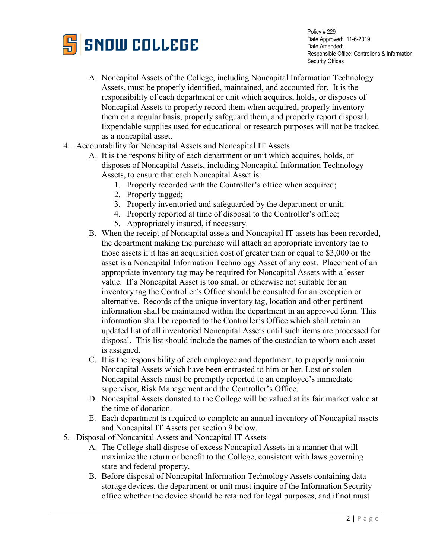

Policy # 229 Date Approved: 11-6-2019 Date Amended: Responsible Office: Controller's & Information Security Offices

- A. Noncapital Assets of the College, including Noncapital Information Technology Assets, must be properly identified, maintained, and accounted for. It is the responsibility of each department or unit which acquires, holds, or disposes of Noncapital Assets to properly record them when acquired, properly inventory them on a regular basis, properly safeguard them, and properly report disposal. Expendable supplies used for educational or research purposes will not be tracked as a noncapital asset.
- 4. Accountability for Noncapital Assets and Noncapital IT Assets
	- A. It is the responsibility of each department or unit which acquires, holds, or disposes of Noncapital Assets, including Noncapital Information Technology Assets, to ensure that each Noncapital Asset is:
		- 1. Properly recorded with the Controller's office when acquired;
		- 2. Properly tagged;
		- 3. Properly inventoried and safeguarded by the department or unit;
		- 4. Properly reported at time of disposal to the Controller's office;
		- 5. Appropriately insured, if necessary.
	- B. When the receipt of Noncapital assets and Noncapital IT assets has been recorded, the department making the purchase will attach an appropriate inventory tag to those assets if it has an acquisition cost of greater than or equal to \$3,000 or the asset is a Noncapital Information Technology Asset of any cost. Placement of an appropriate inventory tag may be required for Noncapital Assets with a lesser value. If a Noncapital Asset is too small or otherwise not suitable for an inventory tag the Controller's Office should be consulted for an exception or alternative. Records of the unique inventory tag, location and other pertinent information shall be maintained within the department in an approved form. This information shall be reported to the Controller's Office which shall retain an updated list of all inventoried Noncapital Assets until such items are processed for disposal. This list should include the names of the custodian to whom each asset is assigned.
	- C. It is the responsibility of each employee and department, to properly maintain Noncapital Assets which have been entrusted to him or her. Lost or stolen Noncapital Assets must be promptly reported to an employee's immediate supervisor, Risk Management and the Controller's Office.
	- D. Noncapital Assets donated to the College will be valued at its fair market value at the time of donation.
	- E. Each department is required to complete an annual inventory of Noncapital assets and Noncapital IT Assets per section 9 below.
- 5. Disposal of Noncapital Assets and Noncapital IT Assets
	- A. The College shall dispose of excess Noncapital Assets in a manner that will maximize the return or benefit to the College, consistent with laws governing state and federal property.
	- B. Before disposal of Noncapital Information Technology Assets containing data storage devices, the department or unit must inquire of the Information Security office whether the device should be retained for legal purposes, and if not must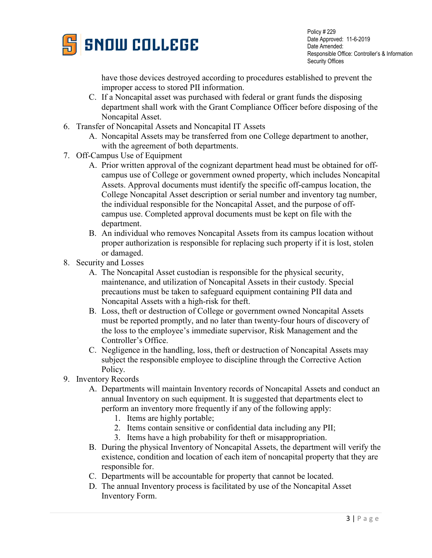

Policy # 229 Date Approved: 11-6-2019 Date Amended: Responsible Office: Controller's & Information Security Offices

have those devices destroyed according to procedures established to prevent the improper access to stored PII information.

- C. If a Noncapital asset was purchased with federal or grant funds the disposing department shall work with the Grant Compliance Officer before disposing of the Noncapital Asset.
- 6. Transfer of Noncapital Assets and Noncapital IT Assets
	- A. Noncapital Assets may be transferred from one College department to another, with the agreement of both departments.
- 7. Off-Campus Use of Equipment
	- A. Prior written approval of the cognizant department head must be obtained for offcampus use of College or government owned property, which includes Noncapital Assets. Approval documents must identify the specific off-campus location, the College Noncapital Asset description or serial number and inventory tag number, the individual responsible for the Noncapital Asset, and the purpose of offcampus use. Completed approval documents must be kept on file with the department.
	- B. An individual who removes Noncapital Assets from its campus location without proper authorization is responsible for replacing such property if it is lost, stolen or damaged.
- 8. Security and Losses
	- A. The Noncapital Asset custodian is responsible for the physical security, maintenance, and utilization of Noncapital Assets in their custody. Special precautions must be taken to safeguard equipment containing PII data and Noncapital Assets with a high-risk for theft.
	- B. Loss, theft or destruction of College or government owned Noncapital Assets must be reported promptly, and no later than twenty-four hours of discovery of the loss to the employee's immediate supervisor, Risk Management and the Controller's Office.
	- C. Negligence in the handling, loss, theft or destruction of Noncapital Assets may subject the responsible employee to discipline through the Corrective Action Policy.
- 9. Inventory Records
	- A. Departments will maintain Inventory records of Noncapital Assets and conduct an annual Inventory on such equipment. It is suggested that departments elect to perform an inventory more frequently if any of the following apply:
		- 1. Items are highly portable;
		- 2. Items contain sensitive or confidential data including any PII;
		- 3. Items have a high probability for theft or misappropriation.
	- B. During the physical Inventory of Noncapital Assets, the department will verify the existence, condition and location of each item of noncapital property that they are responsible for.
	- C. Departments will be accountable for property that cannot be located.
	- D. The annual Inventory process is facilitated by use of the Noncapital Asset Inventory Form.